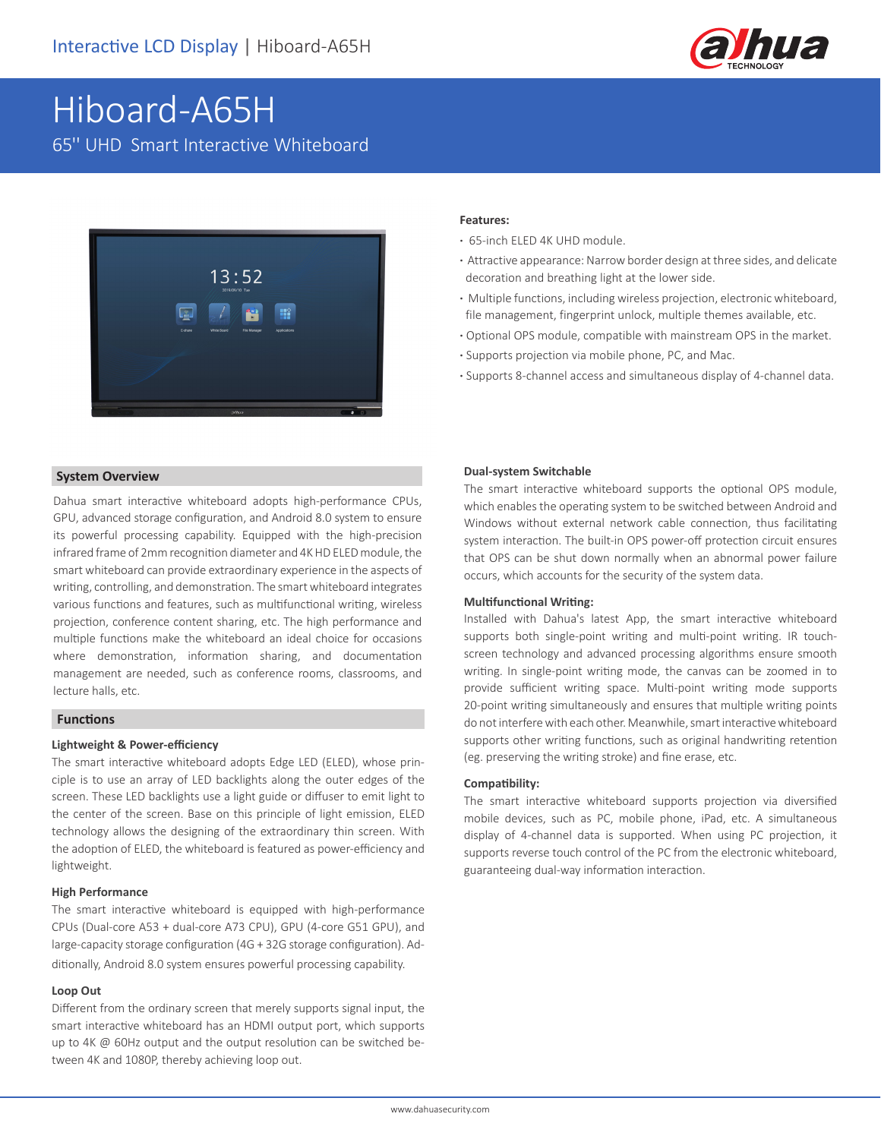

# Hiboard-A65H

65'' UHD Smart Interactive Whiteboard



#### **System Overview**

Dahua smart interactive whiteboard adopts high-performance CPUs, GPU, advanced storage configuration, and Android 8.0 system to ensure its powerful processing capability. Equipped with the high-precision infrared frame of 2mm recognition diameter and 4K HD ELED module, the smart whiteboard can provide extraordinary experience in the aspects of writing, controlling, and demonstration. The smart whiteboard integrates various functions and features, such as multifunctional writing, wireless projection, conference content sharing, etc. The high performance and multiple functions make the whiteboard an ideal choice for occasions where demonstration, information sharing, and documentation management are needed, such as conference rooms, classrooms, and lecture halls, etc.

#### **Functions**

#### **Lightweight & Power-efficiency**

The smart interactive whiteboard adopts Edge LED (ELED), whose principle is to use an array of LED backlights along the outer edges of the screen. These LED backlights use a light guide or diffuser to emit light to the center of the screen. Base on this principle of light emission, ELED technology allows the designing of the extraordinary thin screen. With the adoption of ELED, the whiteboard is featured as power-efficiency and lightweight.

#### **High Performance**

The smart interactive whiteboard is equipped with high-performance CPUs (Dual-core A53 + dual-core A73 CPU), GPU (4-core G51 GPU), and large-capacity storage configuration (4G + 32G storage configuration). Additionally, Android 8.0 system ensures powerful processing capability.

#### **Loop Out**

Different from the ordinary screen that merely supports signal input, the smart interactive whiteboard has an HDMI output port, which supports up to 4K @ 60Hz output and the output resolution can be switched between 4K and 1080P, thereby achieving loop out.

#### **Features:**

- **·** 65-inch ELED 4K UHD module.
- **·** Attractive appearance: Narrow border design at three sides, and delicate decoration and breathing light at the lower side.
- **·** Multiple functions, including wireless projection, electronic whiteboard, file management, fingerprint unlock, multiple themes available, etc.
- **·** Optional OPS module, compatible with mainstream OPS in the market.
- **·** Supports projection via mobile phone, PC, and Mac.
- **·** Supports 8-channel access and simultaneous display of 4-channel data.

#### **Dual-system Switchable**

The smart interactive whiteboard supports the optional OPS module, which enables the operating system to be switched between Android and Windows without external network cable connection, thus facilitating system interaction. The built-in OPS power-off protection circuit ensures that OPS can be shut down normally when an abnormal power failure occurs, which accounts for the security of the system data.

#### **Multifunctional Writing:**

Installed with Dahua's latest App, the smart interactive whiteboard supports both single-point writing and multi-point writing. IR touchscreen technology and advanced processing algorithms ensure smooth writing. In single-point writing mode, the canvas can be zoomed in to provide sufficient writing space. Multi-point writing mode supports 20-point writing simultaneously and ensures that multiple writing points do not interfere with each other. Meanwhile, smart interactive whiteboard supports other writing functions, such as original handwriting retention (eg. preserving the writing stroke) and fine erase, etc.

#### **Compatibility:**

The smart interactive whiteboard supports projection via diversified mobile devices, such as PC, mobile phone, iPad, etc. A simultaneous display of 4-channel data is supported. When using PC projection, it supports reverse touch control of the PC from the electronic whiteboard, guaranteeing dual-way information interaction.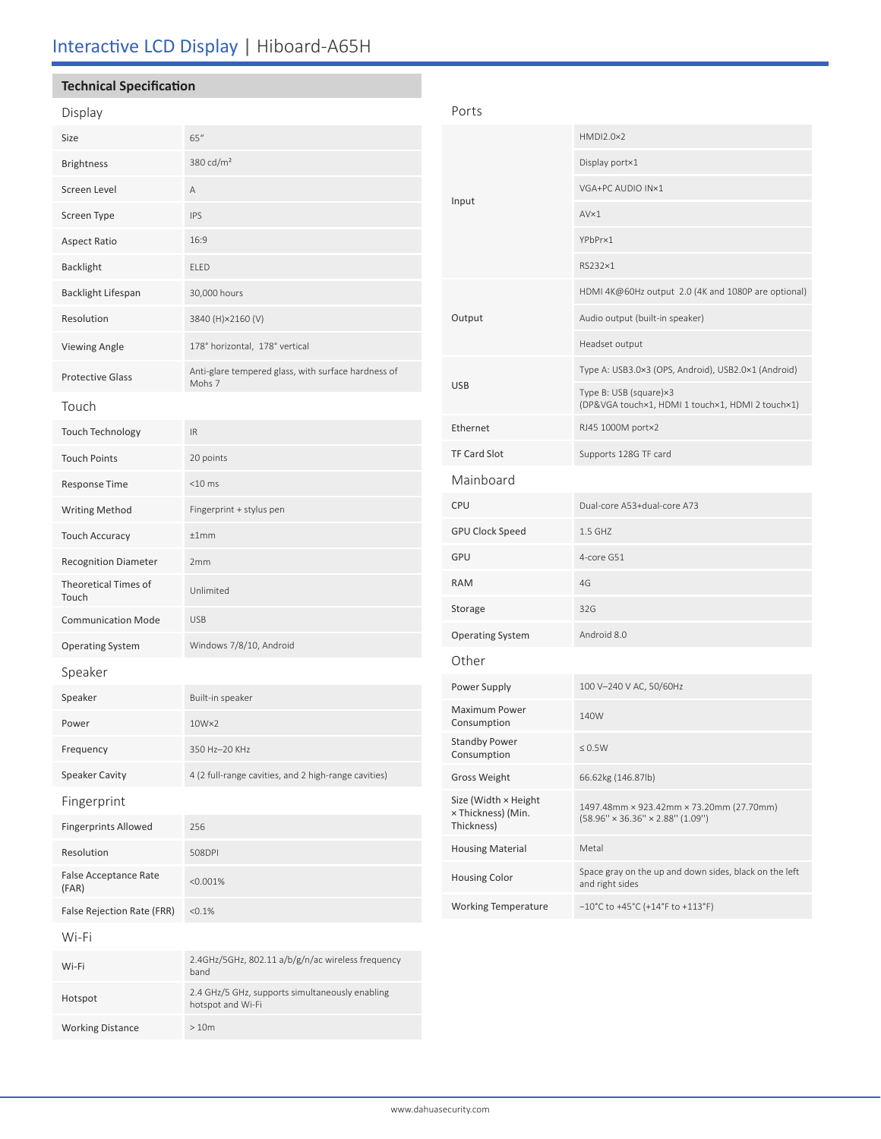## Interactive LCD Display | Hiboard-A65H

Hotspot 2.4 GHz/5 GHz, supports simultaneously enabling hotspot and Wi-Fi

Working Distance  $> 10m$ 

| <b>Technical Specification</b> |                                                               |                                                          |                                                                           |  |
|--------------------------------|---------------------------------------------------------------|----------------------------------------------------------|---------------------------------------------------------------------------|--|
| Display                        |                                                               | Ports                                                    |                                                                           |  |
| Size                           | 65"                                                           |                                                          | HMDI2.0×2                                                                 |  |
| <b>Brightness</b>              | 380 cd/m <sup>2</sup>                                         |                                                          | Display port×1                                                            |  |
| Screen Level                   | Α                                                             | VGA+PC AUDIO IN×1<br>Input<br>AVx1<br>YPbPr×1<br>RS232×1 |                                                                           |  |
| Screen Type                    | <b>IPS</b>                                                    |                                                          |                                                                           |  |
| <b>Aspect Ratio</b>            | 16:9                                                          |                                                          |                                                                           |  |
| <b>Backlight</b>               | ELED                                                          |                                                          |                                                                           |  |
| <b>Backlight Lifespan</b>      | 30,000 hours                                                  |                                                          | HDMI 4K@60Hz output 2.0 (4K and 1080P are optional)                       |  |
| Resolution                     | 3840 (H)×2160 (V)                                             | Output                                                   | Audio output (built-in speaker)                                           |  |
| <b>Viewing Angle</b>           | 178° horizontal, 178° vertical                                |                                                          | Headset output                                                            |  |
| <b>Protective Glass</b>        | Anti-glare tempered glass, with surface hardness of<br>Mohs 7 | <b>USB</b><br>Type B: USB (square)×3                     | Type A: USB3.0×3 (OPS, Android), USB2.0×1 (Android)                       |  |
| Touch                          |                                                               |                                                          | (DP&VGA touch×1, HDMI 1 touch×1, HDMI 2 touch×1)                          |  |
| <b>Touch Technology</b>        | IR                                                            | Ethernet                                                 | RJ45 1000M port×2                                                         |  |
| <b>Touch Points</b>            | 20 points                                                     | <b>TF Card Slot</b>                                      | Supports 128G TF card                                                     |  |
| Response Time                  | $<$ 10 $ms$                                                   | Mainboard                                                |                                                                           |  |
| <b>Writing Method</b>          | Fingerprint + stylus pen                                      | CPU                                                      | Dual-core A53+dual-core A73                                               |  |
| <b>Touch Accuracy</b>          | ±1mm                                                          | <b>GPU Clock Speed</b>                                   | 1.5 GHZ                                                                   |  |
| <b>Recognition Diameter</b>    | 2mm                                                           | GPU                                                      | 4-core G51                                                                |  |
| Theoretical Times of<br>Touch  | Unlimited                                                     | <b>RAM</b>                                               | 4G                                                                        |  |
| <b>Communication Mode</b>      | <b>USB</b>                                                    | Storage                                                  | 32G                                                                       |  |
| <b>Operating System</b>        | Windows 7/8/10, Android                                       | <b>Operating System</b>                                  | Android 8.0                                                               |  |
| Speaker                        |                                                               | Other                                                    |                                                                           |  |
| Speaker                        | Built-in speaker                                              | Power Supply                                             | 100 V-240 V AC, 50/60Hz                                                   |  |
| Power                          | $10W \times 2$                                                | Maximum Power<br>Consumption                             | 140W                                                                      |  |
| Frequency                      | 350 Hz-20 KHz                                                 | <b>Standby Power</b><br>Consumption                      | $\leq 0.5 \text{W}$                                                       |  |
| <b>Speaker Cavity</b>          | 4 (2 full-range cavities, and 2 high-range cavities)          | <b>Gross Weight</b>                                      | 66.62kg (146.87lb)                                                        |  |
| Fingerprint                    |                                                               | Size (Width × Height<br>x Thickness) (Min.               | 1497.48mm × 923.42mm × 73.20mm (27.70mm)                                  |  |
| <b>Fingerprints Allowed</b>    | 256                                                           | Thickness)                                               | $(58.96'' \times 36.36'' \times 2.88'' (1.09''))$                         |  |
| Resolution                     | 508DPI                                                        | <b>Housing Material</b>                                  | Metal                                                                     |  |
| False Acceptance Rate<br>(FAR) | < 0.001%                                                      | <b>Housing Color</b>                                     | Space gray on the up and down sides, black on the left<br>and right sides |  |
| False Rejection Rate (FRR)     | < 0.1%                                                        | <b>Working Temperature</b>                               | $-10^{\circ}$ C to +45°C (+14°F to +113°F)                                |  |
| Wi-Fi                          |                                                               |                                                          |                                                                           |  |
| Wi-Fi                          | 2.4GHz/5GHz, 802.11 a/b/g/n/ac wireless frequency<br>band     |                                                          |                                                                           |  |